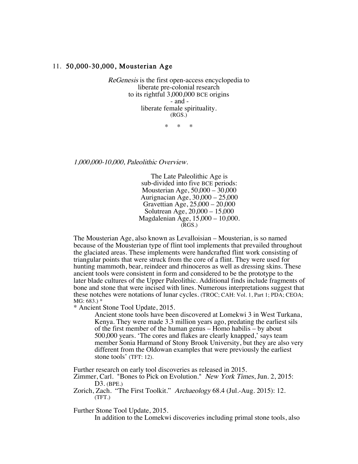## 11. 50,000-30,000, Mousterian Age

ReGenesis is the first open-access encyclopedia to liberate pre-colonial research to its rightful 3,000,000 BCE origins - and liberate female spirituality. (RGS.)

\* \* \*

1,000,000-10,000, Paleolithic Overview.

The Late Paleolithic Age is sub-divided into five BCE periods: Mousterian Age, 50,000 – 30,000 Aurignacian Age, 30,000 – 25,000 Gravettian Age, 25,000 – 20,000 Solutrean Age, 20,000 – 15,000 Magdalenian Age, 15,000 – 10,000.  $(RGS.)$ 

The Mousterian Age, also known as Levalloisian – Mousterian, is so named because of the Mousterian type of flint tool implements that prevailed throughout the glaciated areas. These implements were handcrafted flint work consisting of triangular points that were struck from the core of a flint. They were used for hunting mammoth, bear, reindeer and rhinoceros as well as dressing skins. These ancient tools were consistent in form and considered to be the prototype to the later blade cultures of the Upper Paleolithic. Additional finds include fragments of bone and stone that were incised with lines. Numerous interpretations suggest that these notches were notations of lunar cycles. (TROC; CAH: Vol. 1, Part 1; PDA; CEOA; MG: 683.) \*

\* Ancient Stone Tool Update, 2015.

Ancient stone tools have been discovered at Lomekwi 3 in West Turkana, Kenya. They were made 3.3 million years ago, predating the earliest sils of the first member of the human genus – Homo habilis – by about 500,000 years. 'The cores and flakes are clearly knapped,' says team member Sonia Harmand of Stony Brook University, but they are also very different from the Oldowan examples that were previously the earliest stone tools' (TFT: 12).

Further research on early tool discoveries as released in 2015.

Zimmer, Carl. "Bones to Pick on Evolution." New York Times, Jun. 2, 2015: D3. (BPE.)

Zorich, Zach. "The First Toolkit." Archaeology 68.4 (Jul.-Aug. 2015): 12. (TFT.)

Further Stone Tool Update, 2015.

In addition to the Lomekwi discoveries including primal stone tools, also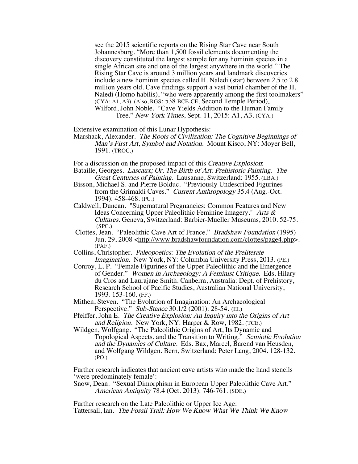see the 2015 scientific reports on the Rising Star Cave near South Johannesburg. "More than 1,500 fossil elements documenting the discovery constituted the largest sample for any hominin species in a single African site and one of the largest anywhere in the world." The Rising Star Cave is around 3 million years and landmark discoveries include a new hominin species called H. Naledi (star) between 2.5 to 2.8 million years old. Cave findings support a vast burial chamber of the H. Naledi (Homo habilis), "who were apparently among the first toolmakers" (CYA: A1, A3). (Also, RGS: 538 BCE-CE, Second Temple Period). Wilford, John Noble. "Cave Yields Addition to the Human Family Tree." New York Times, Sept. 11, 2015: A1, A3. (CYA.)

Extensive examination of this Lunar Hypothesis:

Marshack, Alexander. The Roots of Civilization: The Cognitive Beginnings of Man's First Art, Symbol and Notation. Mount Kisco, NY: Moyer Bell, 1991. (TROC.)

For a discussion on the proposed impact of this Creative Explosion:

- Bataille, Georges. Lascaux; Or, The Birth of Art: Prehistoric Painting. The Great Centuries of Painting. Lausanne, Switzerland: 1955. (LBA.)
- Bisson, Michael S. and Pierre Bolduc. "Previously Undescribed Figurines from the Grimaldi Caves." Current Anthropology 35.4 (Aug.-Oct. 1994): 458-468. (PU.)
- Caldwell, Duncan. "Supernatural Pregnancies: Common Features and New Ideas Concerning Upper Paleolithic Feminine Imagery." Arts & Cultures. Geneva, Switzerland: Barbier-Mueller Museums, 2010. 52-75. (SPC.)
- Clottes, Jean. "Paleolithic Cave Art of France." Bradshaw Foundation (1995) Jun. 29, 2008 <http://www.bradshawfoundation.com/clottes/page4.php>. (PAF.)
- Collins, Christopher. Paleopoetics: The Evolution of the Preliterate Imagination. New York, NY: Columbia University Press, 2013. (PE.)
- Conroy, L. P. "Female Figurines of the Upper Paleolithic and the Emergence of Gender." Women in Archaeology: A Feminist Critique. Eds. Hilary du Cros and Laurajane Smith. Canberra, Australia: Dept. of Prehistory, Research School of Pacific Studies, Australian National University, 1993. 153-160. (FF.)

Mithen, Steven. "The Evolution of Imagination: An Archaeological Perspective." Sub-Stance 30.1/2 (2001): 28-54. (EI.)

- Pfeiffer, John E. The Creative Explosion: An Inquiry into the Origins of Art and Religion. New York, NY: Harper & Row, 1982. (TCE.)
- Wildgen, Wolfgang. "The Paleolithic Origins of Art, Its Dynamic and Topological Aspects, and the Transition to Writing." Semiotic Evolution and the Dynamics of Culture. Eds. Bax, Marcel, Barend van Heusden, and Wolfgang Wildgen. Bern, Switzerland: Peter Lang, 2004. 128-132. (PO.)

Further research indicates that ancient cave artists who made the hand stencils 'were predominately female':

Snow, Dean. "Sexual Dimorphism in European Upper Paleolithic Cave Art." American Antiquity 78.4 (Oct. 2013): 746-761. (SDE.)

Further research on the Late Paleolithic or Upper Ice Age: Tattersall, Ian. The Fossil Trail: How We Know What We Think We Know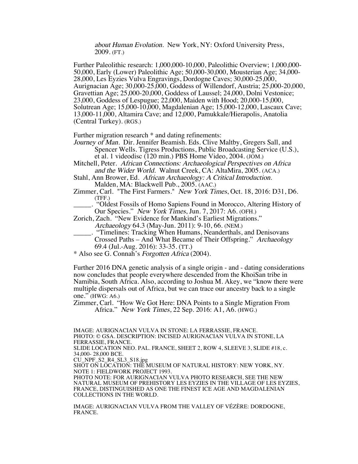about Human Evolution. New York, NY: Oxford University Press, 2009. (FT.)

Further Paleolithic research: 1,000,000-10,000, Paleolithic Overview; 1,000,000- 50,000, Early (Lower) Paleolithic Age; 50,000-30,000, Mousterian Age; 34,000- 28,000, Les Eyzies Vulva Engravings, Dordogne Caves; 30,000-25,000, Aurignacian Age; 30,000-25,000, Goddess of Willendorf, Austria; 25,000-20,000, Gravettian Age; 25,000-20,000, Goddess of Laussel; 24,000, Dolni Vestonice; 23,000, Goddess of Lespugue; 22,000, Maiden with Hood; 20,000-15,000, Solutrean Age; 15,000-10,000, Magdalenian Age; 15,000-12,000, Lascaux Cave; 13,000-11,000, Altamira Cave; and 12,000, Pamukkale/Hierapolis, Anatolia (Central Turkey). (RGS.)

Further migration research  $*$  and dating refinements:

Journey of Man. Dir. Jennifer Beamish. Eds. Clive Maltby, Gregers Sall, and Spencer Wells. Tigress Productions, Public Broadcasting Service (U.S.), et al. 1 videodisc (120 min.) PBS Home Video, 2004. (JOM.)

Mitchell, Peter. African Connections: Archaeological Perspectives on Africa and the Wider World. Walnut Creek, CA: AltaMira, 2005. (ACA.)

Stahl, Ann Brower, Ed. African Archaeology: A Critical Introduction. Malden, MA: Blackwell Pub., 2005. (AAC.)

Zimmer, Carl. "The First Farmers." New York Times, Oct. 18, 2016: D31, D6. (TFF.)

\_\_\_\_\_. "Oldest Fossils of Homo Sapiens Found in Morocco, Altering History of Our Species." New York Times, Jun. 7, 2017: A6. (OFH.)

Zorich, Zach. "New Evidence for Mankind's Earliest Migrations." Archaeology 64.3 (May-Jun. 2011): 9-10, 66. (NEM.)

- \_\_\_\_\_. "Timelines: Tracking When Humans, Neanderthals, and Denisovans Crossed Paths – And What Became of Their Offspring." Archaeology 69.4 (Jul.-Aug. 2016): 33-35. (TT.)
- \* Also see G. Connah's Forgotten Africa (2004).

Further 2016 DNA genetic analysis of a single origin - and - dating considerations now concludes that people everywhere descended from the KhoiSan tribe in Namibia, South Africa. Also, according to Joshua M. Akey, we "know there were multiple dispersals out of Africa, but we can trace our ancestry back to a single one." (HWG: A6.)

Zimmer, Carl. "How We Got Here: DNA Points to a Single Migration From Africa." New York Times, 22 Sep. 2016: A1, A6. (HWG.)

IMAGE: AURIGNACIAN VULVA IN STONE: LA FERRASSIE, FRANCE. PHOTO: © GSA. DESCRIPTION: INCISED AURIGNACIAN VULVA IN STONE, LA FERRASSIE, FRANCE. SLIDE LOCATION NEO. PAL. FRANCE, SHEET 2, ROW 4, SLEEVE 3, SLIDE #18, c.

34,000- 28,000 BCE.

CU\_NPF\_S2\_R4\_SL3\_S18.jpg

SHOT ON LOCATION: THE MUSEUM OF NATURAL HISTORY: NEW YORK, NY. NOTE 1: FIELDWORK PROJECT 1993.

PHOTO NOTE: FOR AURIGNACIAN VULVA PHOTO RESEARCH, SEE THE NEW NATURAL MUSEUM OF PREHISTORY LES EYZIES IN THE VILLAGE OF LES EYZIES, FRANCE, DISTINGUISHED AS ONE THE FINEST ICE AGE AND MAGDALENIAN COLLECTIONS IN THE WORLD.

IMAGE: AURIGNACIAN VULVA FROM THE VALLEY OF VÉZÈRE: DORDOGNE, FRANCE.